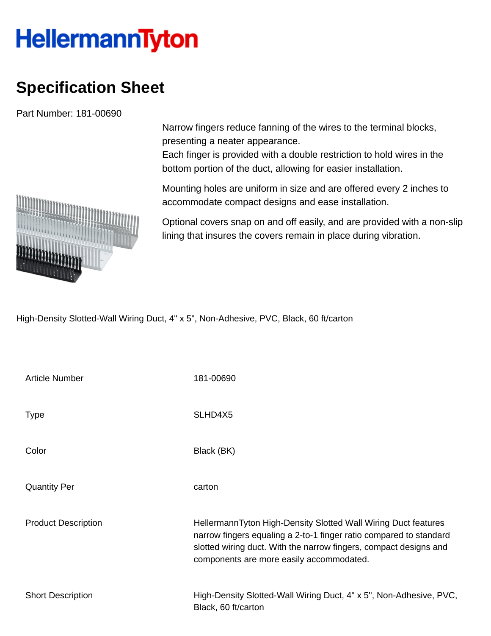## **HellermannTyton**

## **Specification Sheet**

Part Number: 181-00690

presenting a neater appearance. Each finger is provided with a double restriction to hold wires in the

Narrow fingers reduce fanning of the wires to the terminal blocks,

bottom portion of the duct, allowing for easier installation.

Mounting holes are uniform in size and are offered every 2 inches to accommodate compact designs and ease installation.

Optional covers snap on and off easily, and are provided with a non-slip lining that insures the covers remain in place during vibration.

High-Density Slotted-Wall Wiring Duct, 4" x 5", Non-Adhesive, PVC, Black, 60 ft/carton

| <b>Article Number</b>      | 181-00690                                                                                                                                                                                                                                             |
|----------------------------|-------------------------------------------------------------------------------------------------------------------------------------------------------------------------------------------------------------------------------------------------------|
| <b>Type</b>                | SLHD4X5                                                                                                                                                                                                                                               |
| Color                      | Black (BK)                                                                                                                                                                                                                                            |
| <b>Quantity Per</b>        | carton                                                                                                                                                                                                                                                |
| <b>Product Description</b> | HellermannTyton High-Density Slotted Wall Wiring Duct features<br>narrow fingers equaling a 2-to-1 finger ratio compared to standard<br>slotted wiring duct. With the narrow fingers, compact designs and<br>components are more easily accommodated. |
| <b>Short Description</b>   | High-Density Slotted-Wall Wiring Duct, 4" x 5", Non-Adhesive, PVC,<br>Black, 60 ft/carton                                                                                                                                                             |

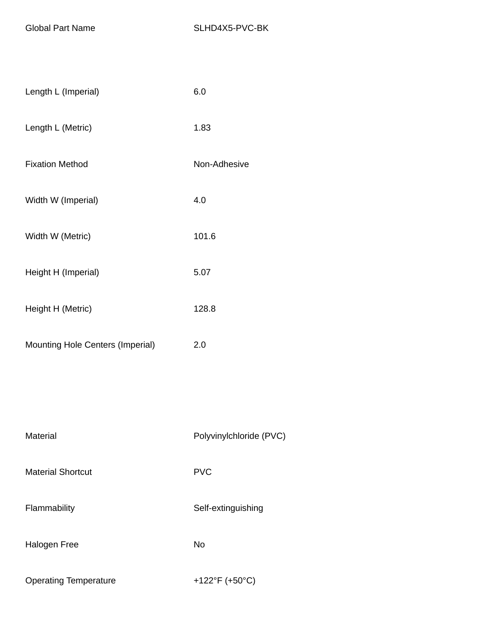| Length L (Imperial)              | 6.0                     |
|----------------------------------|-------------------------|
| Length L (Metric)                | 1.83                    |
| <b>Fixation Method</b>           | Non-Adhesive            |
| Width W (Imperial)               | 4.0                     |
| Width W (Metric)                 | 101.6                   |
| Height H (Imperial)              | 5.07                    |
| Height H (Metric)                | 128.8                   |
| Mounting Hole Centers (Imperial) | 2.0                     |
|                                  |                         |
|                                  |                         |
| Material                         | Polyvinylchloride (PVC) |
| <b>Material Shortcut</b>         | <b>PVC</b>              |
| Flammability                     | Self-extinguishing      |
| <b>Halogen Free</b>              | No                      |
| <b>Operating Temperature</b>     | +122°F (+50°C)          |